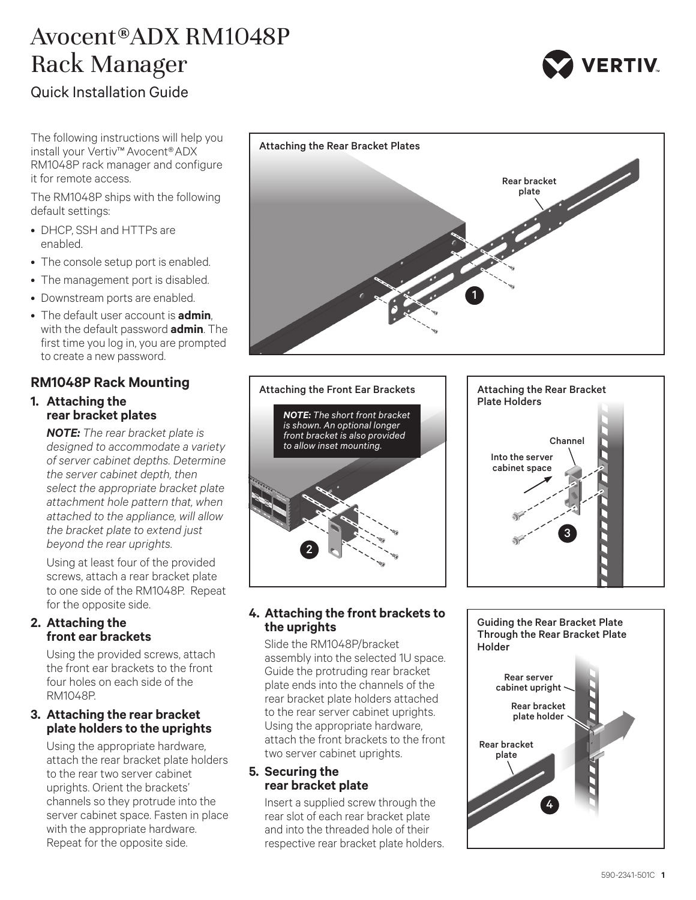# Avocent®ADX RM1048P Rack Manager

## Quick Installation Guide

**VERTIV** 

The following instructions will help you install your Vertiv™ Avocent® ADX RM1048P rack manager and configure it for remote access.

The RM1048P ships with the following default settings:

- DHCP, SSH and HTTPs are enabled.
- The console setup port is enabled.
- The management port is disabled.
- Downstream ports are enabled.
- The default user account is **admin**, with the default password **admin**. The first time you log in, you are prompted to create a new password.

## **RM1048P Rack Mounting**

#### **1. Attaching the rear bracket plates**

*NOTE: The rear bracket plate is designed to accommodate a variety of server cabinet depths. Determine the server cabinet depth, then select the appropriate bracket plate attachment hole pattern that, when attached to the appliance, will allow the bracket plate to extend just beyond the rear uprights.*

Using at least four of the provided screws, attach a rear bracket plate to one side of the RM1048P. Repeat for the opposite side.

#### **2. Attaching the front ear brackets**

Using the provided screws, attach the front ear brackets to the front four holes on each side of the RM1048P.

#### **3. Attaching the rear bracket plate holders to the uprights**

Using the appropriate hardware, attach the rear bracket plate holders to the rear two server cabinet uprights. Orient the brackets' channels so they protrude into the server cabinet space. Fasten in place with the appropriate hardware. Repeat for the opposite side.







### **4. Attaching the front brackets to the uprights**

Slide the RM1048P/bracket assembly into the selected 1U space. Guide the protruding rear bracket plate ends into the channels of the rear bracket plate holders attached to the rear server cabinet uprights. Using the appropriate hardware, attach the front brackets to the front two server cabinet uprights.

#### **5. Securing the rear bracket plate**

Insert a supplied screw through the rear slot of each rear bracket plate and into the threaded hole of their respective rear bracket plate holders.

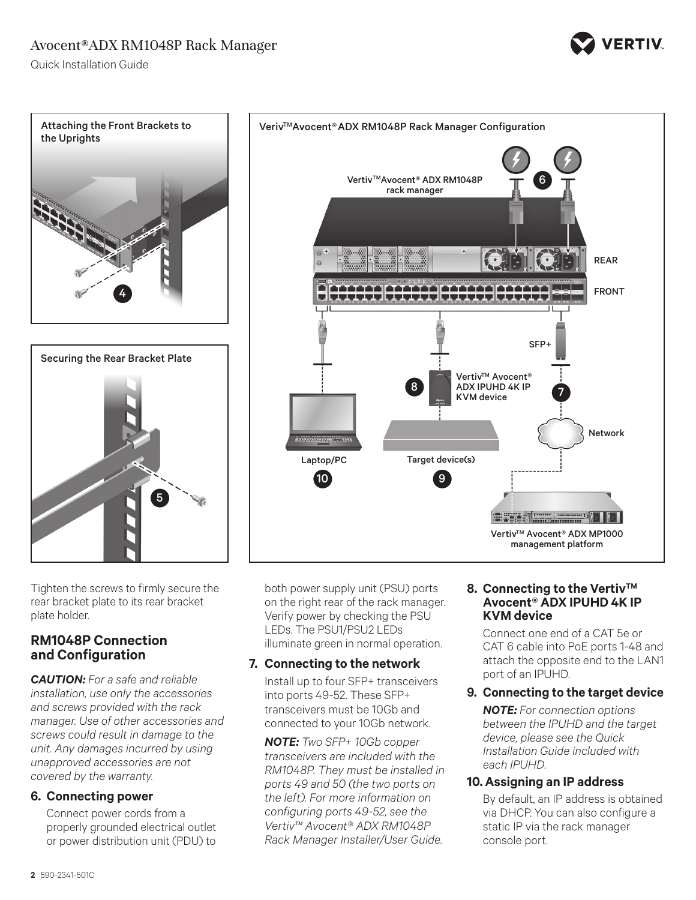

REAR

FRONT

Quick Installation Guide



Tighten the screws to firmly secure the rear bracket plate to its rear bracket plate holder.

## **RM1048P Connection and Configuration**

*CAUTION: For a safe and reliable installation, use only the accessories and screws provided with the rack manager. Use of other accessories and screws could result in damage to the unit. Any damages incurred by using unapproved accessories are not covered by the warranty.*

## **6. Connecting power**

Connect power cords from a properly grounded electrical outlet or power distribution unit (PDU) to

both power supply unit (PSU) ports on the right rear of the rack manager. Verify power by checking the PSU LEDs. The PSU1/PSU2 LEDs illuminate green in normal operation.

## **7. Connecting to the network**

Install up to four SFP+ transceivers into ports 49-52. These SFP+ transceivers must be 10Gb and connected to your 10Gb network.

*NOTE: Two SFP+ 10Gb copper transceivers are included with the RM1048P. They must be installed in ports 49 and 50 (the two ports on the left). For more information on configuring ports 49-52, see the Vertiv™ Avocent® ADX RM1048P Rack Manager Installer/User Guide.* 

#### **8.** Connecting to the Vertiv™ **Avocent® ADX IPUHD 4K IP KVM device**

Connect one end of a CAT 5e or CAT 6 cable into PoE ports 1-48 and attach the opposite end to the LAN1 port of an IPUHD.

## **9. Connecting to the target device**

*NOTE: For connection options between the IPUHD and the target device, please see the Quick Installation Guide included with each IPUHD.*

## **10. Assigning an IP address**

By default, an IP address is obtained via DHCP. You can also configure a static IP via the rack manager console port.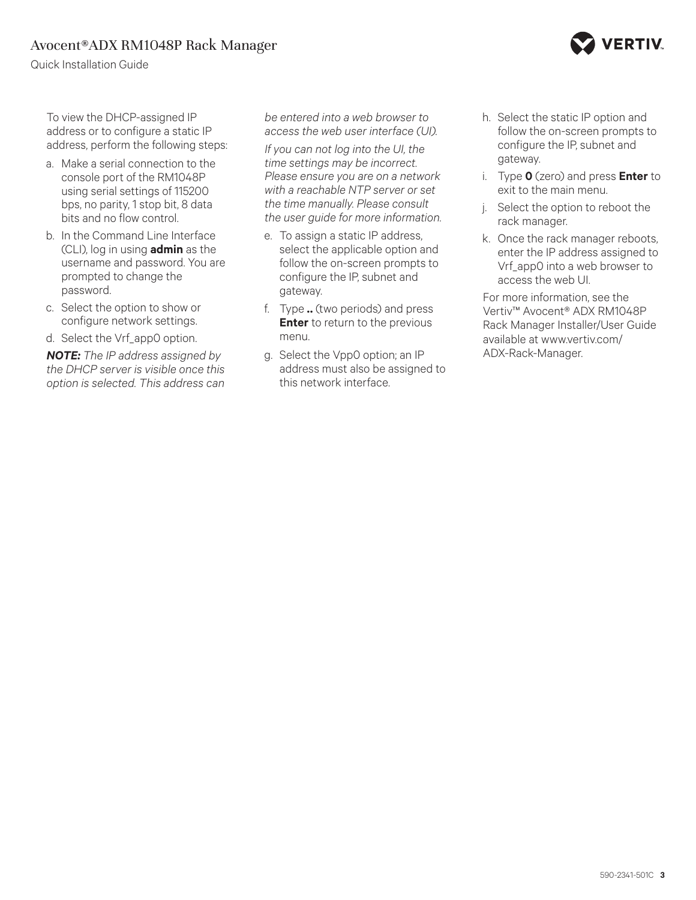

Quick Installation Guide

To view the DHCP-assigned IP address or to configure a static IP address, perform the following steps:

- a. Make a serial connection to the console port of the RM1048P using serial settings of 115200 bps, no parity, 1 stop bit, 8 data bits and no flow control.
- b. In the Command Line Interface (CLI), log in using **admin** as the username and password. You are prompted to change the password.
- c. Select the option to show or configure network settings.
- d. Select the Vrf\_app0 option.

*NOTE: The IP address assigned by the DHCP server is visible once this option is selected. This address can*  *be entered into a web browser to access the web user interface (UI).* 

*If you can not log into the UI, the time settings may be incorrect. Please ensure you are on a network with a reachable NTP server or set the time manually. Please consult the user guide for more information.*

- e. To assign a static IP address, select the applicable option and follow the on-screen prompts to configure the IP, subnet and gateway.
- f. Type **..** (two periods) and press **Enter** to return to the previous menu.
- g. Select the Vpp0 option; an IP address must also be assigned to this network interface.
- h. Select the static IP option and follow the on-screen prompts to configure the IP, subnet and gateway.
- i. Type **0** (zero) and press **Enter** to exit to the main menu.
- j. Select the option to reboot the rack manager.
- k. Once the rack manager reboots, enter the IP address assigned to Vrf\_app0 into a web browser to access the web UI.

For more information, see the Vertiv™ Avocent® ADX RM1048P Rack Manager Installer/User Guide available at www.vertiv.com/ ADX-Rack-Manager.